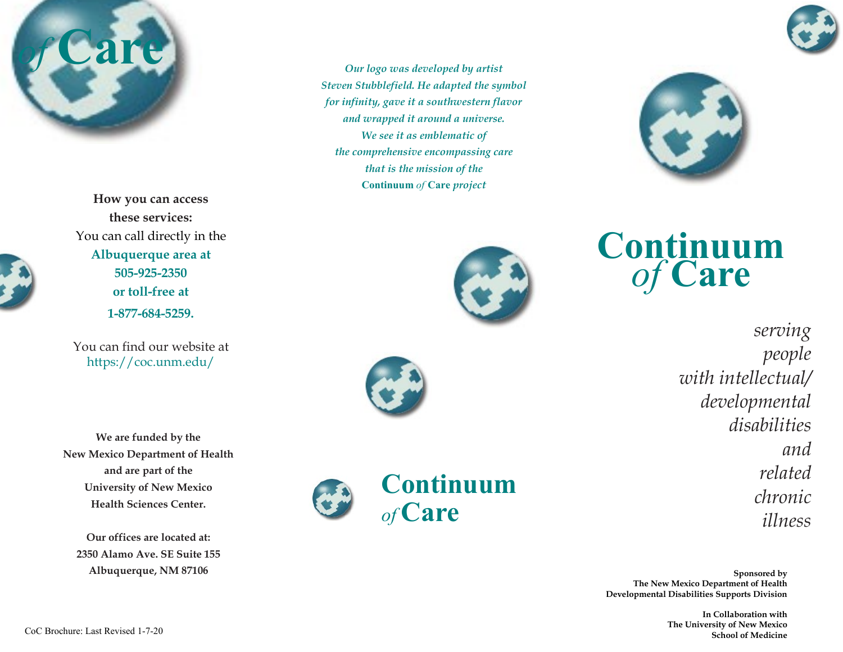



*Our logo was developed by artist Steven Stubblefield. He adapted the symbol for infinity, gave it a southwestern flavor and wrapped it around a universe. We see it as emblematic of the comprehensive encompassing care that is the mission of the* **Continuum** *of* **Care** *project*



**Continuum**  *of* **Care**

> *serving people with intellectual/ developmental disabilities and related chronic illness*

**Sponsored by The New Mexico Department of Health Developmental Disabilities Supports Division**

> **In Collaboration with The University of New Mexico School of Medicine**

**How you can access these services:** You can call directly in the **Albuquerque area at 505-925-2350 or toll-free at 1-877-684-5259.**

You can find our website at https://coc.unm.edu/

**We are funded by the New Mexico Department of Health and are part of the University of New Mexico Health Sciences Center.**

**Our offices are located at: 2350 Alamo Ave. SE Suite 155 Albuquerque, NM 87106**